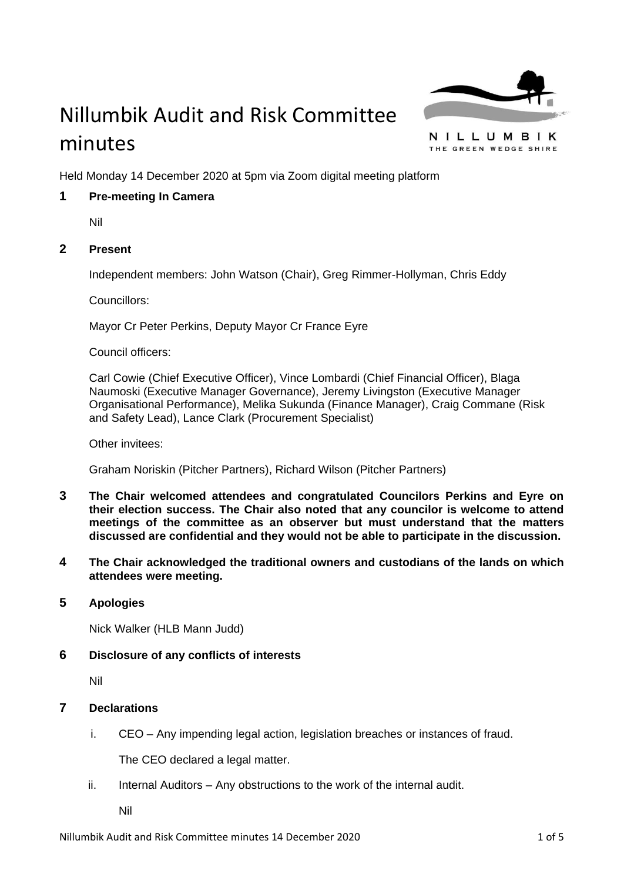

# Nillumbik Audit and Risk Committee minutes

NILLUMBIK THE GREEN WEDGE SHIRE

Held Monday 14 December 2020 at 5pm via Zoom digital meeting platform

# **1 Pre-meeting In Camera**

Nil

# **2 Present**

Independent members: John Watson (Chair), Greg Rimmer-Hollyman, Chris Eddy

Councillors:

Mayor Cr Peter Perkins, Deputy Mayor Cr France Eyre

Council officers:

Carl Cowie (Chief Executive Officer), Vince Lombardi (Chief Financial Officer), Blaga Naumoski (Executive Manager Governance), Jeremy Livingston (Executive Manager Organisational Performance), Melika Sukunda (Finance Manager), Craig Commane (Risk and Safety Lead), Lance Clark (Procurement Specialist)

Other invitees:

Graham Noriskin (Pitcher Partners), Richard Wilson (Pitcher Partners)

- **3 The Chair welcomed attendees and congratulated Councilors Perkins and Eyre on their election success. The Chair also noted that any councilor is welcome to attend meetings of the committee as an observer but must understand that the matters discussed are confidential and they would not be able to participate in the discussion.**
- **4 The Chair acknowledged the traditional owners and custodians of the lands on which attendees were meeting.**
- **5 Apologies**

Nick Walker (HLB Mann Judd)

# **6 Disclosure of any conflicts of interests**

Nil

# **7 Declarations**

i. CEO – Any impending legal action, legislation breaches or instances of fraud.

The CEO declared a legal matter.

ii. Internal Auditors – Any obstructions to the work of the internal audit.

Nil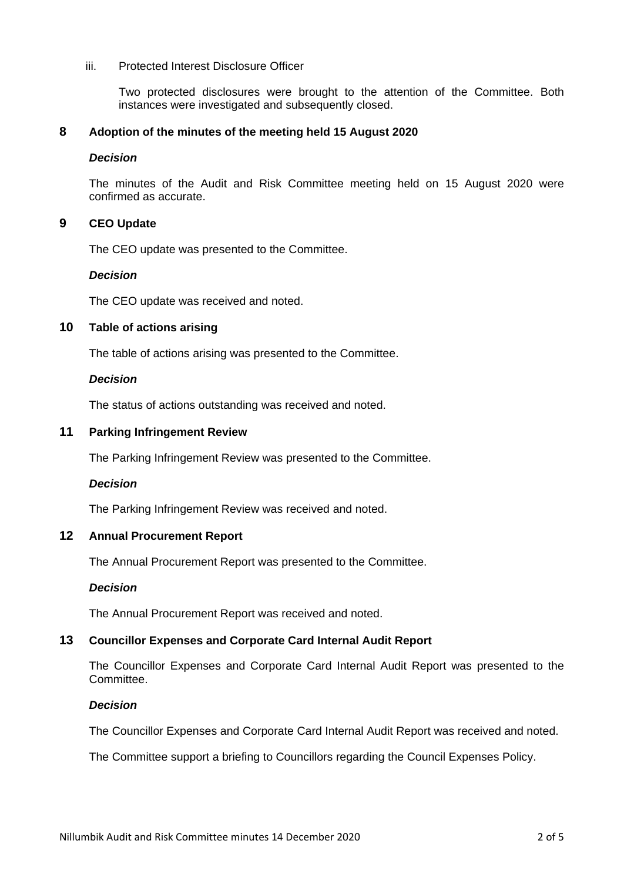#### iii. Protected Interest Disclosure Officer

Two protected disclosures were brought to the attention of the Committee. Both instances were investigated and subsequently closed.

## **8 Adoption of the minutes of the meeting held 15 August 2020**

#### *Decision*

The minutes of the Audit and Risk Committee meeting held on 15 August 2020 were confirmed as accurate.

# **9 CEO Update**

The CEO update was presented to the Committee.

#### *Decision*

The CEO update was received and noted.

# **10 Table of actions arising**

The table of actions arising was presented to the Committee.

## *Decision*

The status of actions outstanding was received and noted.

## **11 Parking Infringement Review**

The Parking Infringement Review was presented to the Committee.

#### *Decision*

The Parking Infringement Review was received and noted.

# **12 Annual Procurement Report**

The Annual Procurement Report was presented to the Committee.

#### *Decision*

The Annual Procurement Report was received and noted.

# **13 Councillor Expenses and Corporate Card Internal Audit Report**

The Councillor Expenses and Corporate Card Internal Audit Report was presented to the Committee.

#### *Decision*

The Councillor Expenses and Corporate Card Internal Audit Report was received and noted.

The Committee support a briefing to Councillors regarding the Council Expenses Policy.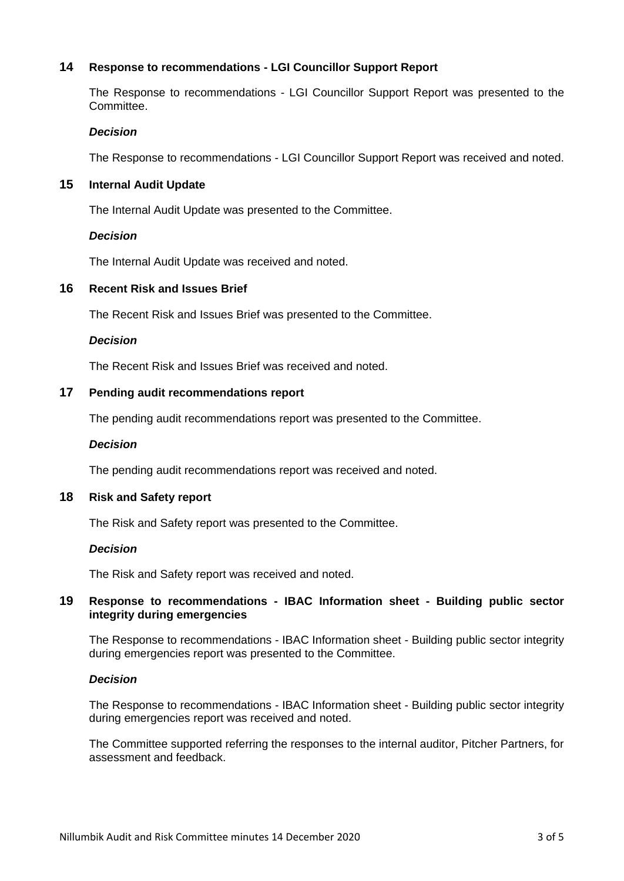# **14 Response to recommendations - LGI Councillor Support Report**

The Response to recommendations - LGI Councillor Support Report was presented to the Committee.

#### *Decision*

The Response to recommendations - LGI Councillor Support Report was received and noted.

## **15 Internal Audit Update**

The Internal Audit Update was presented to the Committee.

## *Decision*

The Internal Audit Update was received and noted.

## **16 Recent Risk and Issues Brief**

The Recent Risk and Issues Brief was presented to the Committee.

## *Decision*

The Recent Risk and Issues Brief was received and noted.

## **17 Pending audit recommendations report**

The pending audit recommendations report was presented to the Committee.

#### *Decision*

The pending audit recommendations report was received and noted.

#### **18 Risk and Safety report**

The Risk and Safety report was presented to the Committee.

#### *Decision*

The Risk and Safety report was received and noted.

## **19 Response to recommendations - IBAC Information sheet - Building public sector integrity during emergencies**

The Response to recommendations - IBAC Information sheet - Building public sector integrity during emergencies report was presented to the Committee.

#### *Decision*

The Response to recommendations - IBAC Information sheet - Building public sector integrity during emergencies report was received and noted.

The Committee supported referring the responses to the internal auditor, Pitcher Partners, for assessment and feedback.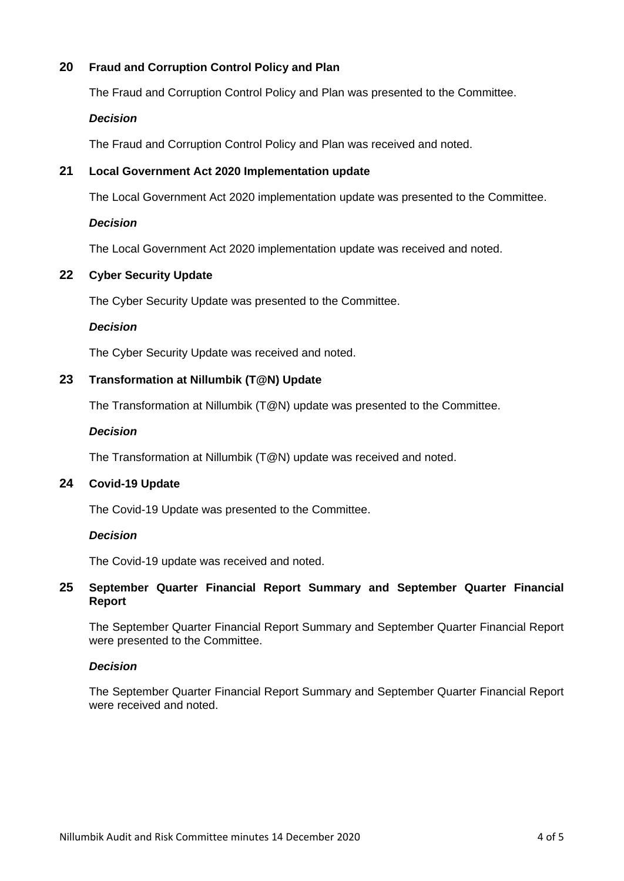# **20 Fraud and Corruption Control Policy and Plan**

The Fraud and Corruption Control Policy and Plan was presented to the Committee.

# *Decision*

The Fraud and Corruption Control Policy and Plan was received and noted.

# **21 Local Government Act 2020 Implementation update**

The Local Government Act 2020 implementation update was presented to the Committee.

## *Decision*

The Local Government Act 2020 implementation update was received and noted.

# **22 Cyber Security Update**

The Cyber Security Update was presented to the Committee.

## *Decision*

The Cyber Security Update was received and noted.

## **23 Transformation at Nillumbik (T@N) Update**

The Transformation at Nillumbik (T@N) update was presented to the Committee.

#### *Decision*

The Transformation at Nillumbik (T@N) update was received and noted.

# **24 Covid-19 Update**

The Covid-19 Update was presented to the Committee.

#### *Decision*

The Covid-19 update was received and noted.

## **25 September Quarter Financial Report Summary and September Quarter Financial Report**

The September Quarter Financial Report Summary and September Quarter Financial Report were presented to the Committee.

#### *Decision*

The September Quarter Financial Report Summary and September Quarter Financial Report were received and noted.